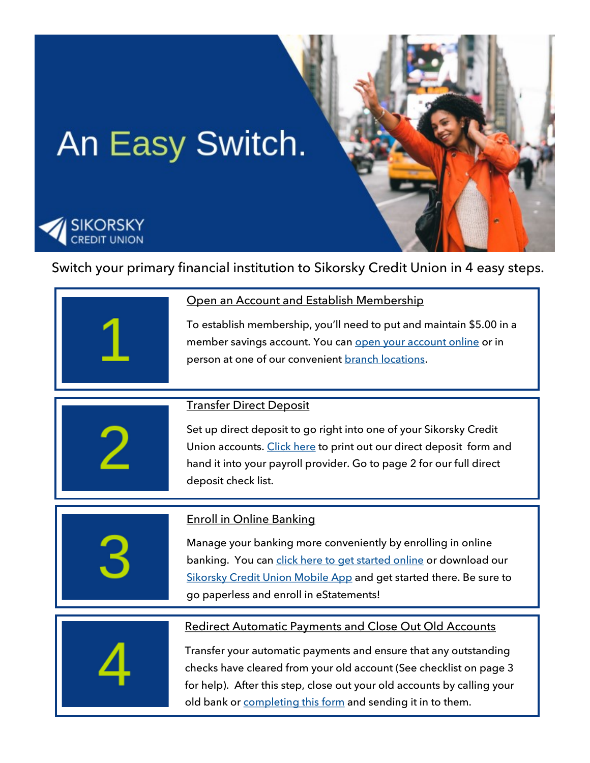

Switch your primary financial institution to Sikorsky Credit Union in 4 easy steps.

| Open an Account and Establish Membership<br>To establish membership, you'll need to put and maintain \$5.00 in a<br>member savings account. You can open your account online or in<br>person at one of our convenient branch locations.                                                                                                           |
|---------------------------------------------------------------------------------------------------------------------------------------------------------------------------------------------------------------------------------------------------------------------------------------------------------------------------------------------------|
| <b>Transfer Direct Deposit</b><br>Set up direct deposit to go right into one of your Sikorsky Credit<br>Union accounts. Click here to print out our direct deposit form and<br>hand it into your payroll provider. Go to page 2 for our full direct<br>deposit check list.                                                                        |
| <b>Enroll in Online Banking</b><br>Manage your banking more conveniently by enrolling in online<br>banking. You can click here to get started online or download our<br>Sikorsky Credit Union Mobile App and get started there. Be sure to<br>go paperless and enroll in eStatements!                                                             |
| <b>Redirect Automatic Payments and Close Out Old Accounts</b><br>Transfer your automatic payments and ensure that any outstanding<br>checks have cleared from your old account (See checklist on page 3<br>for help). After this step, close out your old accounts by calling your<br>old bank or completing this form and sending it in to them. |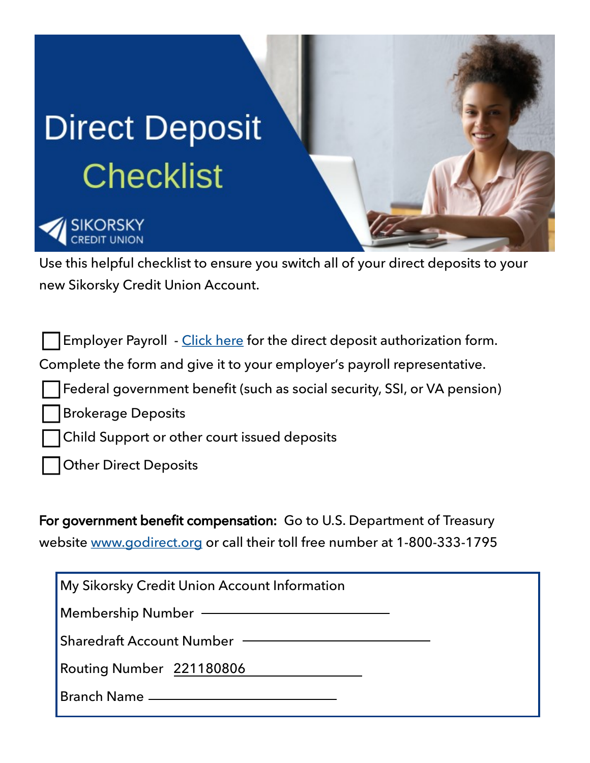## **Direct Deposit Checklist**



Use this helpful checklist to ensure you switch all of your direct deposits to your new Sikorsky Credit Union Account.

| Employer Payroll - Click here for the direct deposit authorization form. |  |  |  |  |
|--------------------------------------------------------------------------|--|--|--|--|
| Complete the form and give it to your employer's payroll representative. |  |  |  |  |
| Federal government benefit (such as social security, SSI, or VA pension) |  |  |  |  |
| Brokerage Deposits                                                       |  |  |  |  |
| Child Support or other court issued deposits                             |  |  |  |  |
| <b>Other Direct Deposits</b>                                             |  |  |  |  |

For government benefit compensation: Go to U.S. Department of Treasury website [www.godirect.org](http://www.godirect.org) or call their toll free number at 1-800-333-1795

| My Sikorsky Credit Union Account Information |  |  |
|----------------------------------------------|--|--|
| Membership Number –––––––––––                |  |  |
| <b>Sharedraft Account Number</b>             |  |  |
| Routing Number 221180806                     |  |  |
| Branch Name __________________               |  |  |
|                                              |  |  |